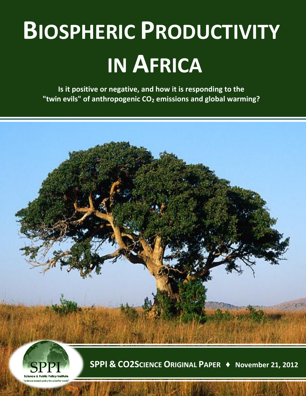# **BIOSPHERIC PRODUCTIVITY IN AFRICA**

**Is it positive or negative, and how it is responding to the "twin evils" of anthropogenic CO<sup>2</sup> emissions and global warming?**

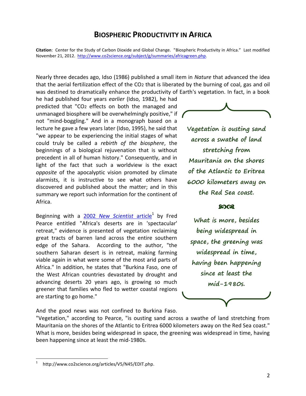## **BIOSPHERIC PRODUCTIVITY IN AFRICA**

**Citation**: Center for the Study of Carbon Dioxide and Global Change. "Biospheric Productivity in Africa." Last modified November 21, 2012. [http://www.co2science.org/subject/g/summaries/africagreen.php.](http://www.co2science.org/subject/g/summaries/africagreen.php)

Nearly three decades ago, Idso (1986) published a small item in *Nature* that advanced the idea that the aerial fertilization effect of the CO2 that is liberated by the burning of coal, gas and oil was destined to dramatically enhance the productivity of Earth's vegetation. In fact, in a book

he had published four years *earlier* (Idso, 1982), he had predicted that "CO2 effects on both the managed and unmanaged biosphere will be overwhelmingly positive," if  $\prime$ not "mind-boggling." And in a monograph based on a lecture he gave a few years later (Idso, 1995), he said that "we appear to be experiencing the initial stages of what could truly be called a *rebirth of the biosphere*, the beginnings of a biological rejuvenation that is without precedent in all of human history." Consequently, and in light of the fact that such a worldview is the exact *opposite* of the apocalyptic vision promoted by climate alarmists, it is instructive to see what others have discovered and published about the matter; and in this summary we report such information for the continent of Africa.

Beginning with a 2002 [New Scientist](http://www.co2science.org/articles/V5/N45/EDIT.php) article<sup>1</sup> by Fred Pearce entitled "Africa's deserts are in 'spectacular' retreat," evidence is presented of vegetation reclaiming great tracts of barren land across the entire southern edge of the Sahara. According to the author, "the southern Saharan desert is in retreat, making farming viable again in what were some of the most arid parts of Africa." In addition, he states that "Burkina Faso, one of the West African countries devastated by drought and advancing deserts 20 years ago, is growing so much greener that families who fled to wetter coastal regions are starting to go home."

And the good news was not confined to Burkina Faso.

"Vegetation," according to Pearce, "is ousting sand across a swathe of land stretching from Mauritania on the shores of the Atlantic to Eritrea 6000 kilometers away on the Red Sea coast." What is more, besides being widespread in space, the greening was widespread in time, having been happening since at least the mid-1980s.

 $\overline{a}$ 



**Vegetation is ousting sand across a swathe of land stretching from Mauritania on the shores of the Atlantic to Eritrea 6000 kilometers away on the Red Sea coast.** 

#### ෨෬෭

**What is more, besides being widespread in space, the greening was widespread in time, having been happening since at least the mid-1980s.**

<sup>1</sup> http://www.co2science.org/articles/V5/N45/EDIT.php.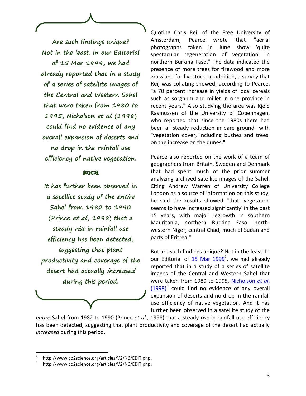**Are such findings unique? Not in the least. In our Editorial of [15 Mar 1999,](http://www.co2science.org/articles/V2/N6/EDIT.php) we had already reported that in a study of a series of satellite images of the Central and Western Sahel that were taken from 1980 to 1995, [Nicholson](http://www.co2science.org/articles/V2/N6/EDIT.php) et al. (1998) could find no evidence of any overall expansion of deserts and no drop in the rainfall use efficiency of native vegetation.** 

#### ෩෬෭

**It has further been observed in a satellite study of the entire Sahel from 1982 to 1990 (Prince et al., 1998) that a steady rise in rainfall use efficiency has been detected, suggesting that plant productivity and coverage of the desert had actually increased during this period.**

Quoting Chris Reij of the Free University of Amsterdam, Pearce wrote that "aerial photographs taken in June show 'quite spectacular regeneration of vegetation' in northern Burkina Faso." The data indicated the presence of more trees for firewood and more grassland for livestock. In addition, a survey that Reij was collating showed, according to Pearce, "a 70 percent increase in yields of local cereals such as sorghum and millet in one province in recent years." Also studying the area was Kjeld Rasmussen of the University of Copenhagen, who reported that since the 1980s there had been a "steady reduction in bare ground" with "vegetation cover, including bushes and trees, on the increase on the dunes."

Pearce also reported on the work of a team of geographers from Britain, Sweden and Denmark that had spent much of the prior summer analyzing archived satellite images of the Sahel. Citing Andrew Warren of University College London as a source of information on this study, he said the results showed "that 'vegetation seems to have increased significantly' in the past 15 years, with major regrowth in southern Mauritania, northern Burkina Faso, northwestern Niger, central Chad, much of Sudan and parts of Eritrea."

But are such findings unique? Not in the least. In our Editorial of [15 Mar 1999](http://www.co2science.org/articles/V2/N6/EDIT.php)<sup>2</sup>, we had already reported that in a study of a series of satellite images of the Central and Western Sahel that were taken from 1980 to 1995, [Nicholson](http://www.co2science.org/articles/V2/N6/EDIT.php) *et al*.  $(1998)^3$  $(1998)^3$  could find no evidence of any overall expansion of deserts and no drop in the rainfall use efficiency of native vegetation. And it has further been observed in a satellite study of the

*entire* Sahel from 1982 to 1990 (Prince *et al*., 1998) that a steady *rise* in rainfall use efficiency has been detected, suggesting that plant productivity and coverage of the desert had actually *increased* during this period.

<sup>2</sup> http://www.co2science.org/articles/V2/N6/EDIT.php.

<sup>3</sup> http://www.co2science.org/articles/V2/N6/EDIT.php.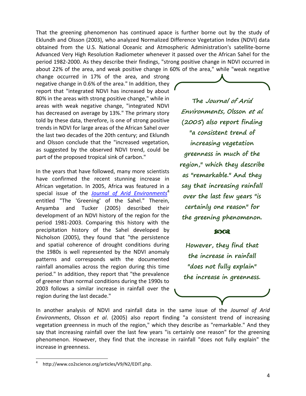That the greening phenomenon has continued apace is further borne out by the study of Eklundh and Olsson (2003), who analyzed Normalized Difference Vegetation Index (NDVI) data obtained from the U.S. National Oceanic and Atmospheric Administration's satellite-borne Advanced Very High Resolution Radiometer whenever it passed over the African Sahel for the period 1982-2000. As they describe their findings, "strong positive change in NDVI occurred in about 22% of the area, and weak positive change in 60% of the area," while "weak negative

change occurred in 17% of the area, and strong negative change in 0.6% of the area." In addition, they report that "integrated NDVI has increased by about 80% in the areas with strong positive change," while in areas with weak negative change, "integrated NDVI has decreased on average by 13%." The primary story told by these data, therefore, is one of strong positive trends in NDVI for large areas of the African Sahel over the last two decades of the 20th century; and Eklundh and Olsson conclude that the "increased vegetation, as suggested by the observed NDVI trend, could be part of the proposed tropical sink of carbon."

In the years that have followed, many more scientists have confirmed the recent stunning increase in African vegetation. In 2005, Africa was featured in a special issue of the *[Journal of Arid Environments](http://www.co2science.org/articles/V9/N2/EDIT.php)*<sup>4</sup> entitled "The 'Greening' of the Sahel." Therein, Anyamba and Tucker (2005) described their development of an NDVI history of the region for the period 1981-2003. Comparing this history with the precipitation history of the Sahel developed by Nicholson (2005), they found that "the persistence and spatial coherence of drought conditions during the 1980s is well represented by the NDVI anomaly patterns and corresponds with the documented rainfall anomalies across the region during this time period." In addition, they report that "the prevalence of greener than normal conditions during the 1990s to 2003 follows a similar increase in rainfall over the region during the last decade."

**The Journal of Arid Environments, Olsson et al. (2005) also report finding "a consistent trend of increasing vegetation greenness in much of the region," which they describe as "remarkable." And they say that increasing rainfall over the last few years "is certainly one reason" for the greening phenomenon.**

#### හිරය

**However, they find that the increase in rainfall "does not fully explain" the increase in greenness.**

In another analysis of NDVI and rainfall data in the same issue of the *Journal of Arid Environments*, Olsson *et al*. (2005) also report finding "a consistent trend of increasing vegetation greenness in much of the region," which they describe as "remarkable." And they say that increasing rainfall over the last few years "is certainly one reason" for the greening phenomenon. However, they find that the increase in rainfall "does not fully explain" the increase in greenness.

<sup>4</sup> http://www.co2science.org/articles/V9/N2/EDIT.php.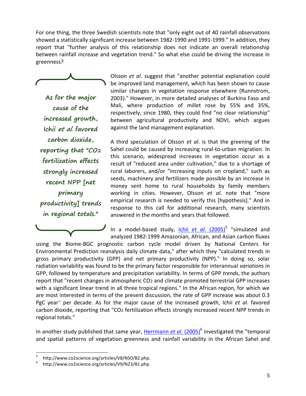For one thing, the three Swedish scientists note that "only eight out of 40 rainfall observations showed a statistically significant increase between 1982-1990 and 1991-1999." In addition, they report that "further analysis of this relationship does not indicate an overall relationship between rainfall increase and vegetation trend." So what else could be driving the increase in greenness?

$$
\overbrace{\hspace{4.5cm}}
$$

**As for the major cause of the increased growth, Ichii et al. favored carbon dioxide, reporting that "CO2 fertilization effects strongly increased recent NPP [net primary productivity] trends in regional totals."**

Olsson *et al*. suggest that "another potential explanation could be improved land management, which has been shown to cause similar changes in vegetation response elsewhere (Runnstrom, 2003)." However, in more detailed analyses of Burkina Faso and Mali, where production of millet rose by 55% and 35%, respectively, since 1980, they could find "no clear relationship" between agricultural productivity and NDVI, which argues against the land management explanation.

A third speculation of Olsson *et al*. is that the greening of the Sahel could be caused by increasing rural-to-urban migration. In this scenario, widespread increases in vegetation occur as a result of "reduced area under cultivation," due to a shortage of rural laborers, and/or "increasing inputs on cropland," such as seeds, machinery and fertilizers made possible by an increase in money sent home to rural households by family members working in cities. However, Olsson *et al*. note that "more empirical research is needed to verify this [hypothesis]." And in response to this call for additional research, many scientists answered in the months and years that followed.

In a model-based study, *Ichii et al.* (2005)<sup>5</sup> "simulated and analyzed 1982-1999 Amazonian, African, and Asian carbon fluxes

using the Biome-BGC prognostic carbon cycle model driven by National Centers for Environmental Prediction reanalysis daily climate data," after which they "calculated trends in gross primary productivity (GPP) and net primary productivity (NPP)." In doing so, solar radiation variability was found to be the primary factor responsible for interannual *variations* in GPP, followed by temperature and precipitation variability. In terms of GPP *trends*, the authors report that "recent changes in atmospheric CO2 and climate promoted terrestrial GPP increases with a significant linear trend in all three tropical regions." In the African region, for which we are most interested in terms of the present discussion, the rate of GPP increase was about 0.3 PgC year<sup>1</sup> per decade. As for the major cause of the increased growth, Ichii *et al*. favored carbon dioxide, reporting that "CO2 fertilization effects strongly increased recent NPP trends in regional totals."

In another study published that same year, [Herrmann](http://www.co2science.org/articles/V9/N23/B1.php) et al. (2005)<sup>6</sup> investigated the "temporal and spatial patterns of vegetation greenness and rainfall variability in the African Sahel and

<sup>5</sup> http://www.co2science.org/articles/V8/N50/B2.php.

<sup>6</sup> http://www.co2science.org/articles/V9/N23/B1.php.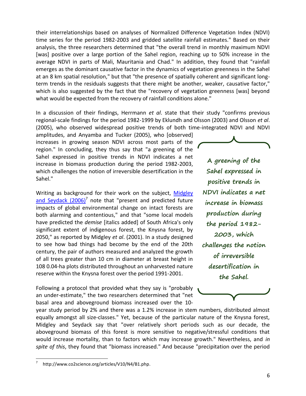their interrelationships based on analyses of Normalized Difference Vegetation Index (NDVI) time series for the period 1982-2003 and gridded satellite rainfall estimates." Based on their analysis, the three researchers determined that "the overall trend in monthly maximum NDVI [was] positive over a large portion of the Sahel region, reaching up to 50% increase in the average NDVI in parts of Mali, Mauritania and Chad." In addition, they found that "rainfall emerges as the dominant causative factor in the dynamics of vegetation greenness in the Sahel at an 8 km spatial resolution," but that "the presence of spatially coherent and significant longterm trends in the residuals suggests that there might be another, weaker, causative factor," which is also suggested by the fact that the "recovery of vegetation greenness [was] beyond what would be expected from the recovery of rainfall conditions alone."

In a discussion of their findings, Herrmann *et al*. state that their study "confirms previous regional-scale findings for the period 1982-1999 by Eklundh and Olsson (2003) and Olsson *et al*. (2005), who observed widespread positive trends of both time-integrated NDVI and NDVI

amplitudes, and Anyamba and Tucker (2005), who [observed] increases in growing season NDVI across most parts of the region." In concluding, they thus say that "a greening of the Sahel expressed in positive trends in NDVI indicates a net increase in biomass production during the period 1982-2003, which challenges the notion of irreversible desertification in the Sahel."

Writing as background for their work on the subject, [Midgley](http://www.co2science.org/articles/V10/N4/B1.php)  [and Seydack \(2006\)](http://www.co2science.org/articles/V10/N4/B1.php)<sup>7</sup> note that "present and predicted future impacts of global environmental change on intact forests are both alarming and contentious," and that "some local models have predicted the *demise* [italics added] of South Africa's only significant extent of indigenous forest, the Knysna forest, by 2050," as reported by Midgley *et al*. (2001). In a study designed to see how bad things had become by the end of the 20th century, the pair of authors measured and analyzed the growth of all trees greater than 10 cm in diameter at breast height in 108 0.04-ha plots distributed throughout an unharvested nature reserve within the Knysna forest over the period 1991-2001.

Following a protocol that provided what they say is "probably an under-estimate," the two researchers determined that "net basal area and aboveground biomass increased over the 10-

**A greening of the Sahel expressed in positive trends in NDVI indicates a net increase in biomass production during the period 1982- 2003, which challenges the notion of irreversible desertification in the Sahel.**



year study period by 2% and there was a 1.2% increase in stem numbers, distributed almost equally amongst all size-classes." Yet, because of the particular nature of the Knysna forest, Midgley and Seydack say that "over relatively short periods such as our decade, the aboveground biomass of this forest is more sensitive to negative/stressful conditions that would increase mortality, than to factors which may increase growth." Nevertheless, and *in spite of this*, they found that "biomass increased." And because "precipitation over the period

<sup>7</sup> http://www.co2science.org/articles/V10/N4/B1.php.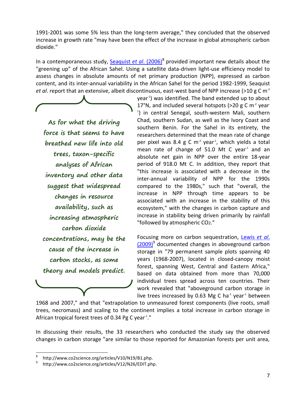1991-2001 was some 5% less than the long-term average," they concluded that the observed increase in growth rate "may have been the effect of the increase in global atmospheric carbon dioxide."

In a contemporaneous study, [Seaquist](http://www.co2science.org/articles/V10/N19/B1.php) et al. (2006)<sup>8</sup> provided important new details about the "greening up" of the African Sahel. Using a satellite data-driven light-use efficiency model to assess changes in absolute amounts of net primary production (NPP), expressed as carbon content, and its inter-annual variability in the African Sahel for the period 1982-1999, Seaquist *et al*. report that an extensive, albeit discontinuous, east-west band of NPP increase (>10 g C m-2

**As for what the driving force is that seems to have breathed new life into old trees, taxon-specific analyses of African inventory and other data suggest that widespread changes in resource availability, such as increasing atmospheric carbon dioxide concentrations, may be the cause of the increase in carbon stocks, as some theory and models predict.**

year-1 ) was identified. The band extended up to about 17°N, and included several hotspots (>20 g C m<sup>-2</sup> year 1 ) in central Senegal, south-western Mali, southern Chad, southern Sudan, as well as the Ivory Coast and southern Benin. For the Sahel in its entirety, the researchers determined that the mean rate of change per pixel was 8.4 g C  $m<sup>2</sup>$  year<sup>1</sup>, which yields a total mean rate of change of  $51.0$  Mt C year<sup>1</sup> and an absolute net gain in NPP over the entire 18-year period of 918.0 Mt C. In addition, they report that "this increase is associated with a decrease in the inter-annual variability of NPP for the 1990s compared to the 1980s," such that "overall, the increase in NPP through time appears to be associated with an increase in the stability of this ecosystem," with the changes in carbon capture and increase in stability being driven primarily by rainfall "followed by atmospheric CO2."

Focusing more on carbon sequestration, [Lewis](http://www.co2science.org/articles/V12/N26/EDIT.php) *et al*. [\(2009\)](http://www.co2science.org/articles/V12/N26/EDIT.php)<sup>9</sup> documented changes in aboveground carbon storage in "79 permanent sample plots spanning 40 years (1968-2007), located in closed-canopy moist forest, spanning West, Central and Eastern Africa," based on data obtained from more than 70,000 individual trees spread across ten countries. Their work revealed that "aboveground carbon storage in live trees increased by 0.63 Mg C ha $4$  year $4$  between

1968 and 2007," and that "extrapolation to unmeasured forest components (live roots, small trees, necromass) and scaling to the continent implies a total increase in carbon storage in African tropical forest trees of 0.34 Pg C year $4.$ "

In discussing their results, the 33 researchers who conducted the study say the observed changes in carbon storage "are similar to those reported for Amazonian forests per unit area,

<sup>8</sup> http://www.co2science.org/articles/V10/N19/B1.php.

<sup>9</sup> http://www.co2science.org/articles/V12/N26/EDIT.php.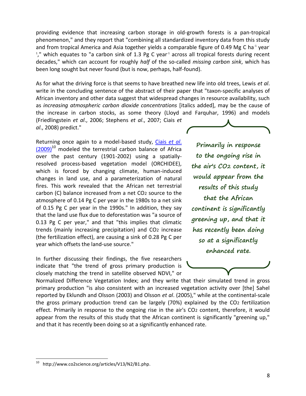providing evidence that increasing carbon storage in old-growth forests is a pan-tropical phenomenon," and they report that "combining all standardized inventory data from this study and from tropical America and Asia together yields a comparable figure of 0.49 Mg C ha<sup>-1</sup> year<sup>-</sup> <sup>1</sup>," which equates to "a carbon sink of 1.3 Pg C year<sup>-1</sup> across all tropical forests during recent decades," which can account for roughly *half* of the so-called *missing carbon sink*, which has been long sought but never found (but is now, perhaps, half-found).

As for what the driving force is that seems to have breathed new life into old trees, Lewis *et al*. write in the concluding sentence of the abstract of their paper that "taxon-specific analyses of African inventory and other data suggest that widespread changes in resource availability, such as *increasing atmospheric carbon dioxide concentrations* [italics added], may be the cause of the increase in carbon stocks, as some theory (Lloyd and Farquhar, 1996) and models (Friedlingstein *et al*., 2006; Stephens *et al*., 2007; Ciais *et al*., 2008) predict."

Returning once again to a model-based study, [Ciais](http://www.co2science.org/articles/V13/N2/B1.php) *et al*.  $(2009)^{10}$  $(2009)^{10}$  modeled the terrestrial carbon balance of Africa over the past century (1901-2002) using a spatiallyresolved process-based vegetation model (ORCHIDEE), which is forced by changing climate, human-induced changes in land use, and a parameterization of natural fires. This work revealed that the African net terrestrial carbon (C) balance increased from a net CO2 source to the atmosphere of 0.14 Pg C per year in the 1980s to a net sink of 0.15 Pg C per year in the 1990s." In addition, they say that the land use flux due to deforestation was "a source of 0.13 Pg C per year," and that "this implies that climatic trends (mainly increasing precipitation) and CO2 increase (the fertilization effect), are causing a sink of 0.28 Pg C per year which offsets the land-use source."

In further discussing their findings, the five researchers indicate that "the trend of gross primary production is closely matching the trend in satellite observed NDVI," or

**Primarily in response to the ongoing rise in the air's CO2 content, it would appear from the results of this study that the African continent is significantly greening up, and that it has recently been doing so at a significantly enhanced rate.**



Normalized Difference Vegetation Index; and they write that their simulated trend in gross primary production "is also consistent with an increased vegetation activity over [the] Sahel reported by Eklundh and Olsson (2003) and Olsson *et al*. (2005)," while at the continental-scale the gross primary production trend can be largely (70%) explained by the CO2 fertilization effect. Primarily in response to the ongoing rise in the air's CO<sub>2</sub> content, therefore, it would appear from the results of this study that the African continent is significantly "greening up," and that it has recently been doing so at a significantly enhanced rate.

 $10\,$ http://www.co2science.org/articles/V13/N2/B1.php.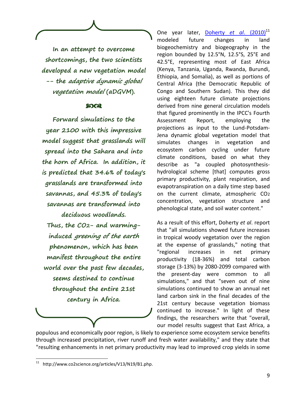**In an attempt to overcome shortcomings, the two scientists developed a new vegetation model -- the adaptive dynamic global vegetation model (aDGVM).** 

#### **8003**

**Forward simulations to the year 2100 with this impressive model suggest that grasslands will spread into the Sahara and into the horn of Africa. In addition, it is predicted that 34.6% of today's grasslands are transformed into savannas, and 45.3% of today's savannas are transformed into deciduous woodlands. Thus, the CO2- and warminginduced greening of the earth phenomenon, which has been manifest throughout the entire world over the past few decades, seems destined to continue throughout the entire 21st century in Africa.**

One year later, [Doherty](http://www.co2science.org/articles/V13/N19/B1.php) *et al.* (2010)<sup>11</sup> modeled future changes in land biogeochemistry and biogeography in the region bounded by 12.5°N, 12.5°S, 25°E and 42.5°E, representing most of East Africa (Kenya, Tanzania, Uganda, Rwanda, Burundi, Ethiopia, and Somalia), as well as portions of Central Africa (the Democratic Republic of Congo and Southern Sudan). This they did using eighteen future climate projections derived from nine general circulation models that figured prominently in the IPCC's Fourth Assessment Report, employing the projections as input to the Lund-Potsdam-Jena dynamic global vegetation model that simulates changes in vegetation and ecosystem carbon cycling under future climate conditions, based on what they describe as "a coupled photosynthesishydrological scheme [that] computes gross primary productivity, plant respiration, and evapotranspiration on a daily time step based on the current climate, atmospheric CO2 concentration, vegetation structure and phenological state, and soil water content."

As a result of this effort, Doherty *et al*. report that "all simulations showed future increases in tropical woody vegetation over the region at the expense of grasslands," noting that "regional increases in net primary productivity (18-36%) and total carbon storage (3-13%) by 2080-2099 compared with the present-day were common to all simulations," and that "seven out of nine simulations continued to show an annual net land carbon sink in the final decades of the 21st century because vegetation biomass continued to increase." In light of these findings, the researchers write that "overall, our model results suggest that East Africa, a

populous and economically poor region, is likely to experience some ecosystem service benefits through increased precipitation, river runoff and fresh water availability," and they state that "resulting enhancements in net primary productivity may lead to improved crop yields in some

 $11$ http://www.co2science.org/articles/V13/N19/B1.php.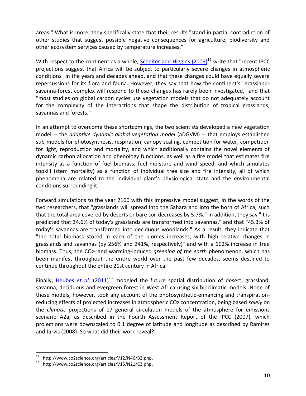areas." What is more, they specifically state that their results "stand in partial contradiction of other studies that suggest possible negative consequences for agriculture, biodiversity and other ecosystem services caused by temperature increases."

With respect to the continent as a whole, Scheiter and Higgins  $(2009)^{12}$  write that "recent IPCC projections suggest that Africa will be subject to particularly severe changes in atmospheric conditions" in the years and decades ahead, and that these changes could have equally severe repercussions for its flora and fauna. However, they say that how the continent's "grasslandsavanna-forest complex will respond to these changes has rarely been investigated," and that "most studies on global carbon cycles use vegetation models that do not adequately account for the complexity of the interactions that shape the distribution of tropical grasslands, savannas and forests."

In an attempt to overcome these shortcomings, the two scientists developed a new vegetation model -- the *adaptive dynamic global vegetation model* (aDGVM) -- that employs established sub-models for photosynthesis, respiration, canopy scaling, competition for water, competition for light, reproduction and mortality, and which additionally contains the novel elements of dynamic carbon allocation and phenology functions, as well as a fire model that estimates fire intensity as a function of fuel biomass, fuel moisture and wind speed, and which simulates topkill (stem mortality) as a function of individual tree size and fire intensity, all of which phenomena are related to the individual plant's physiological state and the environmental conditions surrounding it.

Forward simulations to the year 2100 with this impressive model suggest, in the words of the two researchers, that "grasslands will spread into the Sahara and into the horn of Africa, such that the total area covered by deserts or bare soil decreases by 5.7%." In addition, they say "it is predicted that 34.6% of today's grasslands are transformed into savannas," and that "45.3% of today's savannas are transformed into deciduous woodlands." As a result, they indicate that "the total biomass stored in each of the biomes increases, with high relative changes in grasslands and savannas (by 256% and 241%, respectively)" and with a 102% increase in tree biomass. Thus, the CO2- and warming-induced *greening of the earth* phenomenon, which has been manifest throughout the entire world over the past few decades, seems destined to continue throughout the entire 21st century in Africa.

Finally, [Heubes](http://www.co2science.org/articles/V15/N21/C3.php) *et al.* (2011)<sup>13</sup> modeled the future spatial distribution of desert, grassland, savanna, deciduous and evergreen forest in West Africa using six bioclimatic models. None of these models, however, took any account of the photosynthetic-enhancing and transpirationreducing effects of projected increases in atmospheric CO2 concentration, being based *solely* on the *climatic* projections of 17 general circulation models of the atmosphere for emissions scenario A2a, as described in the Fourth Assessment Report of the IPCC (2007), which projections were downscaled to 0.1 degree of latitude and longitude as described by Ramirez and Jarvis (2008). So what did their work reveal?

http://www.co2science.org/articles/V12/N46/B2.php.

<sup>13</sup> http://www.co2science.org/articles/V15/N21/C3.php.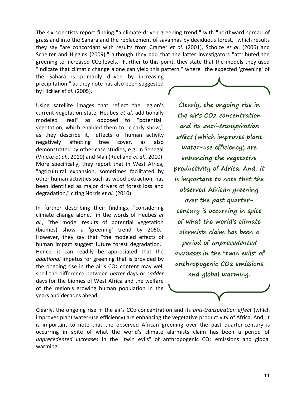The six scientists report finding "a climate-driven greening trend," with "northward spread of grassland into the Sahara and the replacement of savannas by deciduous forest," which results they say "are concordant with results from Cramer *et al*. (2001), Scholze *et al*. (2006) and Scheiter and Higgins (2009)," although they add that the latter investigators "attributed the greening to increased CO2 levels." Further to this point, they state that the models they used "indicate that climatic change alone can yield this pattern," where "the expected 'greening' of

the Sahara is primarily driven by increasing precipitation," as they note has also been suggested by Hickler *et al*. (2005).

Using satellite images that reflect the region's current vegetation state, Heubes *et al*. additionally modeled "real" as opposed to "potential" vegetation, which enabled them to "clearly show," as they describe it, "effects of human activity negatively affecting tree cover, as also demonstrated by other case studies, e.g. in Senegal (Vincke *et al*., 2010) and Mali (Ruelland *et al*., 2010). More specifically, they report that in West Africa, "agricultural expansion, sometimes facilitated by other human activities such as wood extraction, has been identified as major drivers of forest loss and degradation," citing Norris *et al*. (2010).

In further describing their findings, "considering climate change alone," in the words of Heubes *et al*., "the model results of potential vegetation (biomes) show a 'greening' trend by 2050." However, they say that "the modeled effects of human impact suggest future forest degradation." Hence, it can readily be appreciated that the *additional* impetus for greening that is provided by the ongoing rise in the air's CO2 content may well spell the difference between *better* days or *sadder* days for the biomes of West Africa and the welfare of the region's growing human population in the years and decades ahead.

**Clearly, the ongoing rise in the air's CO2 concentration and its anti-transpiration effect (which improves plant water-use efficiency) are enhancing the vegetative productivity of Africa. And, it is important to note that the observed African greening over the past quartercentury is occurring in spite of what the world's climate alarmists claim has been a period of unprecedented increases in the "twin evils" of anthropogenic CO2 emissions and global warming.**

Clearly, the ongoing rise in the air's CO2 concentration and its *anti-transpiration effect* (which improves plant water-use efficiency) are enhancing the vegetative productivity of Africa. And, it is important to note that the observed African greening over the past quarter-century is occurring in spite of what the world's climate alarmists claim has been a period of *unprecedented increases* in the "twin evils" of anthropogenic CO2 emissions and global warming.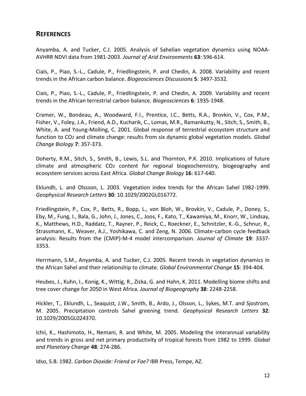### **REFERENCES**

Anyamba, A. and Tucker, C.J. 2005. Analysis of Sahelian vegetation dynamics using NOAA-AVHRR NDVI data from 1981-2003. *Journal of Arid Environments* **63**: 596-614.

Ciais, P., Piao, S.-L., Cadule, P., Friedlingstein, P. and Chedin, A. 2008. Variability and recent trends in the African carbon balance. *Biogeosciences Discussions* **5**: 3497-3532.

Ciais, P., Piao, S.-L., Cadule, P., Friedlingstein, P. and Chedin, A. 2009. Variability and recent trends in the African terrestrial carbon balance. *Biogeosciences* **6**: 1935-1948.

Cramer, W., Bondeau, A., Woodward, F.I., Prentice, I.C., Betts, R.A., Brovkin, V., Cox, P.M., Fisher, V., Foley, J.A., Friend, A.D., Kucharik, C., Lomas, M.R., Ramankutty, N., Sitch, S., Smith, B., White, A. and Young-Molling, C. 2001. Global response of terrestrial ecosystem structure and function to CO2 and climate change: results from six dynamic global vegetation models. *Global Change Biology* **7**: 357-373.

Doherty, R.M., Sitch, S., Smith, B., Lewis, S.L. and Thornton, P.K. 2010. Implications of future climate and atmospheric CO2 content for regional biogeochemistry, biogeography and ecosystem services across East Africa. *Global Change Biology* **16**: 617-640.

Eklundh, L. and Olssson, L. 2003. Vegetation index trends for the African Sahel 1982-1999. *Geophysical Research Letters* **30**: 10.1029/2002GL016772.

Friedlingstein, P., Cox, P., Betts, R., Bopp, L., von Bloh, W., Brovkin, V., Cadule, P., Doney, S., Eby, M., Fung, I., Bala, G., John, J., Jones, C., Joos, F., Kato, T., Kawamiya, M., Knorr, W., Lindsay, K., Matthews, H.D., Raddatz, T., Rayner, P., Reick, C., Roeckner, E., Schnitzler, K.-G., Schnur, R., Strassmann, K., Weaver, A.J., Yoshikawa, C. and Zeng, N. 2006. Climate-carbon cycle feedback analysis: Results from the (CMIP)-M-4 model intercomparison. *Journal of Climate* **19**: 3337- 3353.

Herrmann, S.M., Anyamba, A. and Tucker, C.J. 2005. Recent trends in vegetation dynamics in the African Sahel and their relationship to climate. *Global Environmental Change* **15**: 394-404.

Heubes, J., Kuhn, I., Konig, K., Wittig, R., Zizka, G. and Hahn, K. 2011. Modelling biome shifts and tree cover change for 2050 in West Africa. *Journal of Biogeography* **38**: 2248-2258.

Hickler, T., Eklundh, L., Seaquist, J.W., Smith, B., Ardo, J., Olsson, L., Sykes, M.T. and Sjostrom, M. 2005. Precipitation controls Sahel greening trend. *Geophysical Research Letters* **32**: 10.1029/2005GL024370.

Ichii, K., Hashimoto, H., Nemani, R. and White, M. 2005. Modeling the interannual variability and trends in gross and net primary productivity of tropical forests from 1982 to 1999. *Global and Planetary Change* **48**: 274-286.

Idso, S.B. 1982. *Carbon Dioxide: Friend or Foe?* IBR Press, Tempe, AZ.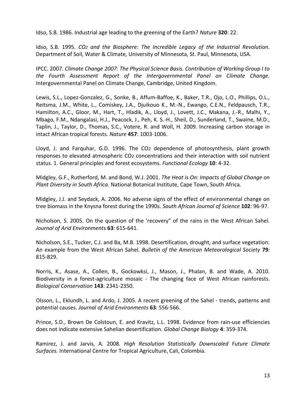Idso, S.B. 1986. Industrial age leading to the greening of the Earth? *Nature* **320**: 22.

Idso, S.B. 1995. *CO2 and the Biosphere: The Incredible Legacy of the Industrial Revolution.* Department of Soil, Water & Climate, University of Minnesota, St. Paul, Minnesota, USA.

IPCC. 2007. *Climate Change 2007: The Physical Science Basis. Contribution of Working Group I to the Fourth Assessment Report of the Intergovernmental Panel on Climate Change.* Intergovernmental Panel on Climate Change, Cambridge, United Kingdom.

Lewis, S.L., Lopez-Gonzalez, G., Sonke, B., Affum-Baffoe, K., Baker, T.R., Ojo, L.O., Phillips, O.L., Reitsma, J.M., White, L., Comiskey, J.A., Djuikouo K., M.-N., Ewango, C.E.N., Feldpausch, T.R., Hamilton, A.C., Gloor, M., Hart, T., Hladik, A., Lloyd, J., Lovett, J.C., Makana, J.-R., Malhi, Y., Mbago, F.M., Ndangalasi, H.J., Peacock, J., Peh, K. S.-H., Sheil, D., Sunderland, T., Swaine, M.D., Taplin, J., Taylor, D., Thomas, S.C., Votere, R. and Woll, H. 2009. Increasing carbon storage in intact African tropical forests. *Nature* **457**: 1003-1006.

Lloyd, J. and Farquhar, G.D. 1996. The CO2 dependence of photosynthesis, plant growth responses to elevated atmospheric CO2 concentrations and their interaction with soil nutrient status. 1. General principles and forest ecosystems. *Functional Ecology* **10**: 4-32.

Midgley, G.F., Rutherford, M. and Bond, W.J. 2001. *The Heat is On: Impacts of Global Change on Plant Diversity in South Africa.* National Botanical Institute, Cape Town, South Africa.

Midgley, J.J. and Seydack, A. 2006. No adverse signs of the effect of environmental change on tree biomass in the Knysna forest during the 1990s. *South African Journal of Science* **102**: 96-97.

Nicholson, S. 2005. On the question of the 'recovery" of the rains in the West African Sahel. *Journal of Arid Environments* **63**: 615-641.

Nicholson, S.E., Tucker, C.J. and Ba, M.B. 1998. Desertification, drought, and surface vegetation: An example from the West African Sahel. *Bulletin of the American Meteorological Society* **79**: 815-829.

Norris, K., Asase, A., Collen, B., Gockowksi, J., Mason, J., Phalan, B. and Wade, A. 2010. Biodiversity in a forest-agriculture mosaic - The changing face of West African rainforests. *Biological Conservation* **143**: 2341-2350.

Olsson, L., Eklundh, L. and Ardo, J. 2005. A recent greening of the Sahel - trends, patterns and potential causes. *Journal of Arid Environments* **63**: 556-566.

Prince, S.D., Brown De Colstoun, E. and Kravitz, L.L. 1998. Evidence from rain-use efficiencies does not indicate extensive Sahelian desertification. *Global Change Biology* **4**: 359-374.

Ramirez, J. and Jarvis, A. 2008. *High Resolution Statistically Downscaled Future Climate Surfaces.* International Centre for Tropical Agriculture, Cali, Colombia.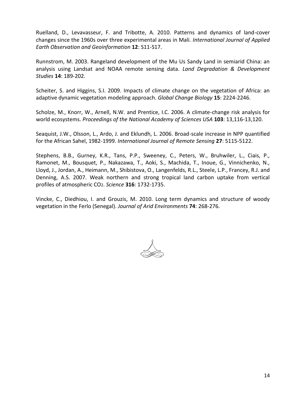Ruelland, D., Levavasseur, F. and Tribotte, A. 2010. Patterns and dynamics of land-cover changes since the 1960s over three experimental areas in Mali. *International Journal of Applied Earth Observation and Geoinformation* **12**: S11-S17.

Runnstrom, M. 2003. Rangeland development of the Mu Us Sandy Land in semiarid China: an analysis using Landsat and NOAA remote sensing data. *Land Degradation & Development Studies* **14**: 189-202.

Scheiter, S. and Higgins, S.I. 2009. Impacts of climate change on the vegetation of Africa: an adaptive dynamic vegetation modeling approach. *Global Change Biology* **15**: 2224-2246.

Scholze, M., Knorr, W., Arnell, N.W. and Prentice, I.C. 2006. A climate-change risk analysis for world ecosystems. *Proceedings of the National Academy of Sciences USA* **103**: 13,116-13,120.

Seaquist, J.W., Olsson, L., Ardo, J. and Eklundh, L. 2006. Broad-scale increase in NPP quantified for the African Sahel, 1982-1999. *International Journal of Remote Sensing* **27**: 5115-5122.

Stephens, B.B., Gurney, K.R., Tans, P.P., Sweeney, C., Peters, W., Bruhwiler, L., Ciais, P., Ramonet, M., Bousquet, P., Nakazawa, T., Aoki, S., Machida, T., Inoue, G., Vinnichenko, N., Lloyd, J., Jordan, A., Heimann, M., Shibistova, O., Langenfelds, R.L., Steele, L.P., Francey, R.J. and Denning, A.S. 2007. Weak northern and strong tropical land carbon uptake from vertical profiles of atmospheric CO2. *Science* **316**: 1732-1735.

Vincke, C., Diedhiou, I. and Grouzis, M. 2010. Long term dynamics and structure of woody vegetation in the Ferlo (Senegal). *Journal of Arid Environments* **74**: 268-276.